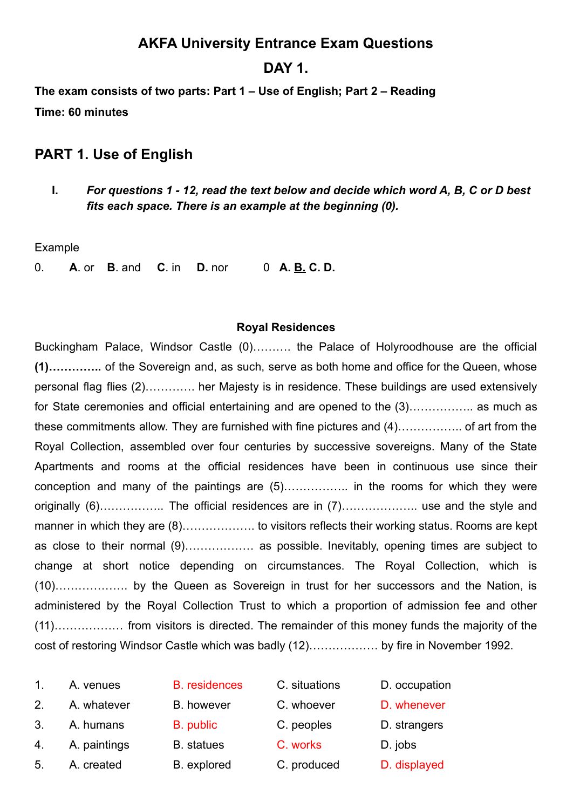# **AKFA University Entrance Exam Questions**

## **DAY 1.**

**The exam consists of two parts: Part 1 – Use of English; Part 2 – Reading Time: 60 minutes**

## **PART 1. Use of English**

**I.** *For questions 1 - 12, read the text below and decide which word A, B, C or D best fits each space. There is an example at the beginning (0).*

#### Example

0. **A**. or **B**. and **C**. in **D.** nor 0 **A. B. C. D.**

#### **Royal Residences**

Buckingham Palace, Windsor Castle (0)………. the Palace of Holyroodhouse are the official **(1)…………..** of the Sovereign and, as such, serve as both home and office for the Queen, whose personal flag flies (2)…………. her Majesty is in residence. These buildings are used extensively for State ceremonies and official entertaining and are opened to the (3).................. as much as these commitments allow. They are furnished with fine pictures and (4)…………….. of art from the Royal Collection, assembled over four centuries by successive sovereigns. Many of the State Apartments and rooms at the official residences have been in continuous use since their conception and many of the paintings are (5)…………….. in the rooms for which they were originally (6)…………….. The official residences are in (7)……………….. use and the style and manner in which they are (8)……………… to visitors reflects their working status. Rooms are kept as close to their normal (9)……………… as possible. Inevitably, opening times are subject to change at short notice depending on circumstances. The Royal Collection, which is (10)………………. by the Queen as Sovereign in trust for her successors and the Nation, is administered by the Royal Collection Trust to which a proportion of admission fee and other (11)……………… from visitors is directed. The remainder of this money funds the majority of the cost of restoring Windsor Castle which was badly (12)……………… by fire in November 1992.

| $\mathbf{1}$ . | A. venues    | <b>B.</b> residences | C. situations | D. occupation |
|----------------|--------------|----------------------|---------------|---------------|
| 2.             | A. whatever  | <b>B.</b> however    | C. whoever    | D. whenever   |
| 3.             | A. humans    | B. public            | C. peoples    | D. strangers  |
| 4.             | A. paintings | <b>B.</b> statues    | C. works      | D. jobs       |
| 5.             | A. created   | B. explored          | C. produced   | D. displayed  |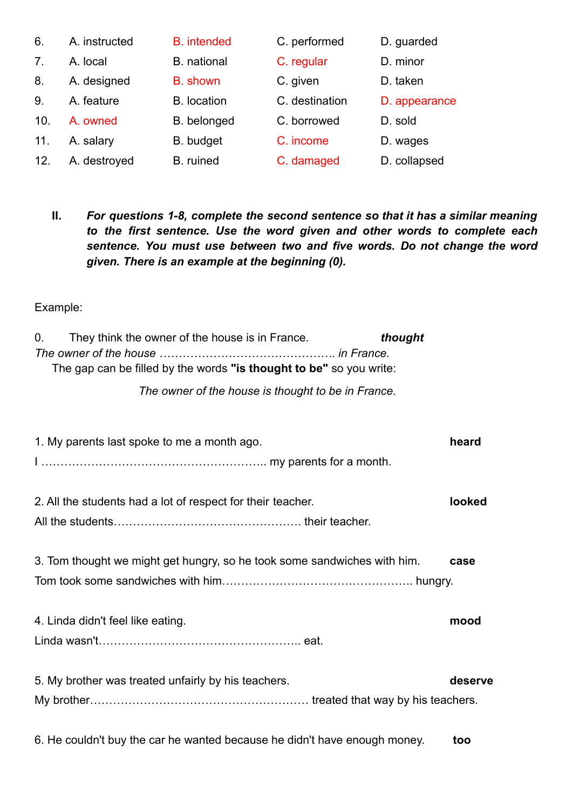| 6.  | A. instructed | <b>B.</b> intended | C. performed   | D. guarded    |
|-----|---------------|--------------------|----------------|---------------|
| 7.  | A. local      | <b>B.</b> national | C. regular     | D. minor      |
| 8.  | A. designed   | <b>B.</b> shown    | C. given       | D. taken      |
| 9.  | A. feature    | <b>B.</b> location | C. destination | D. appearance |
| 10. | A. owned      | B. belonged        | C. borrowed    | D. sold       |
| 11. | A. salary     | <b>B.</b> budget   | C. income      | D. wages      |
| 12. | A. destroyed  | B. ruined          | C. damaged     | D. collapsed  |

**II.** *For questions 1-8, complete the second sentence so that it has a similar meaning to the first sentence. Use the word given and other words to complete each sentence. You must use between two and five words. Do not change the word given. There is an example at the beginning (0).*

Example:

| 0.<br>They think the owner of the house is in France.<br>thought<br>The gap can be filled by the words "is thought to be" so you write:<br>The owner of the house is thought to be in France. |         |
|-----------------------------------------------------------------------------------------------------------------------------------------------------------------------------------------------|---------|
| 1. My parents last spoke to me a month ago.                                                                                                                                                   | heard   |
| 2. All the students had a lot of respect for their teacher.                                                                                                                                   | looked  |
| 3. Tom thought we might get hungry, so he took some sandwiches with him.                                                                                                                      | case    |
| 4. Linda didn't feel like eating.                                                                                                                                                             | mood    |
| 5. My brother was treated unfairly by his teachers.                                                                                                                                           | deserve |
| 6. He couldn't buy the car he wanted because he didn't have enough money.                                                                                                                     | too     |
|                                                                                                                                                                                               |         |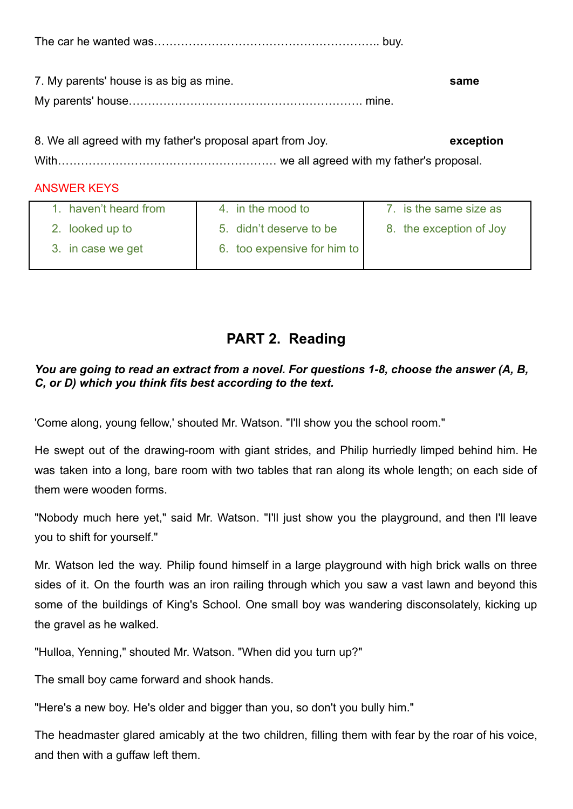The car he wanted was………………………………………………….. buy.

| 7. My parents' house is as big as mine. | same |
|-----------------------------------------|------|
|                                         |      |

8. We all agreed with my father's proposal apart from Joy. **exception** With………………………………………………… we all agreed with my father's proposal.

### ANSWER KEYS

| haven't heard from | 4. in the mood to           | 7. is the same size as  |
|--------------------|-----------------------------|-------------------------|
| 2. looked up to    | 5. didn't deserve to be     | 8. the exception of Joy |
| 3. in case we get  | 6. too expensive for him to |                         |

# **PART 2. Reading**

### *You are going to read an extract from a novel. For questions 1-8, choose the answer (A, B, C, or D) which you think fits best according to the text.*

'Come along, young fellow,' shouted Mr. Watson. "I'll show you the school room."

He swept out of the drawing-room with giant strides, and Philip hurriedly limped behind him. He was taken into a long, bare room with two tables that ran along its whole length; on each side of them were wooden forms.

"Nobody much here yet," said Mr. Watson. "I'll just show you the playground, and then I'll leave you to shift for yourself."

Mr. Watson led the way. Philip found himself in a large playground with high brick walls on three sides of it. On the fourth was an iron railing through which you saw a vast lawn and beyond this some of the buildings of King's School. One small boy was wandering disconsolately, kicking up the gravel as he walked.

"Hulloa, Yenning," shouted Mr. Watson. "When did you turn up?"

The small boy came forward and shook hands.

"Here's a new boy. He's older and bigger than you, so don't you bully him."

The headmaster glared amicably at the two children, filling them with fear by the roar of his voice, and then with a guffaw left them.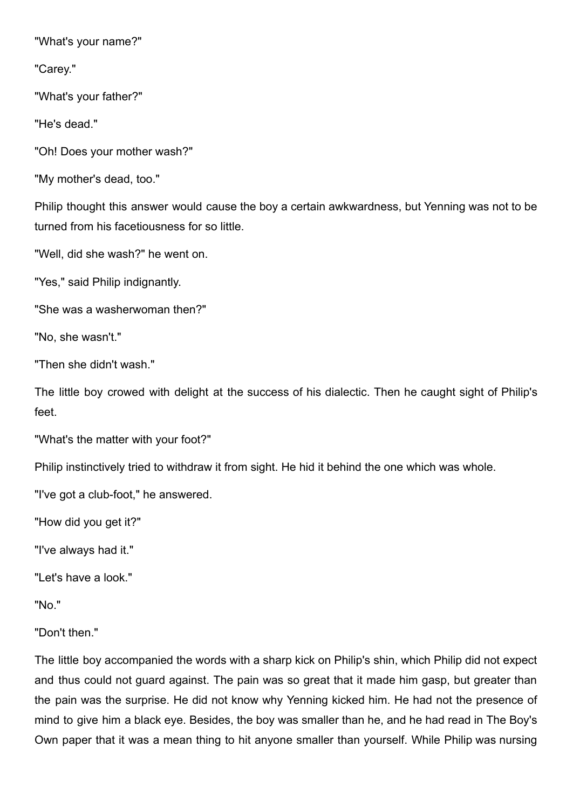"What's your name?"

"Carey."

"What's your father?"

"He's dead."

"Oh! Does your mother wash?"

"My mother's dead, too."

Philip thought this answer would cause the boy a certain awkwardness, but Yenning was not to be turned from his facetiousness for so little.

"Well, did she wash?" he went on.

"Yes," said Philip indignantly.

"She was a washerwoman then?"

"No, she wasn't."

"Then she didn't wash."

The little boy crowed with delight at the success of his dialectic. Then he caught sight of Philip's feet.

"What's the matter with your foot?"

Philip instinctively tried to withdraw it from sight. He hid it behind the one which was whole.

"I've got a club-foot," he answered.

"How did you get it?"

"I've always had it."

"Let's have a look."

"No."

"Don't then."

The little boy accompanied the words with a sharp kick on Philip's shin, which Philip did not expect and thus could not guard against. The pain was so great that it made him gasp, but greater than the pain was the surprise. He did not know why Yenning kicked him. He had not the presence of mind to give him a black eye. Besides, the boy was smaller than he, and he had read in The Boy's Own paper that it was a mean thing to hit anyone smaller than yourself. While Philip was nursing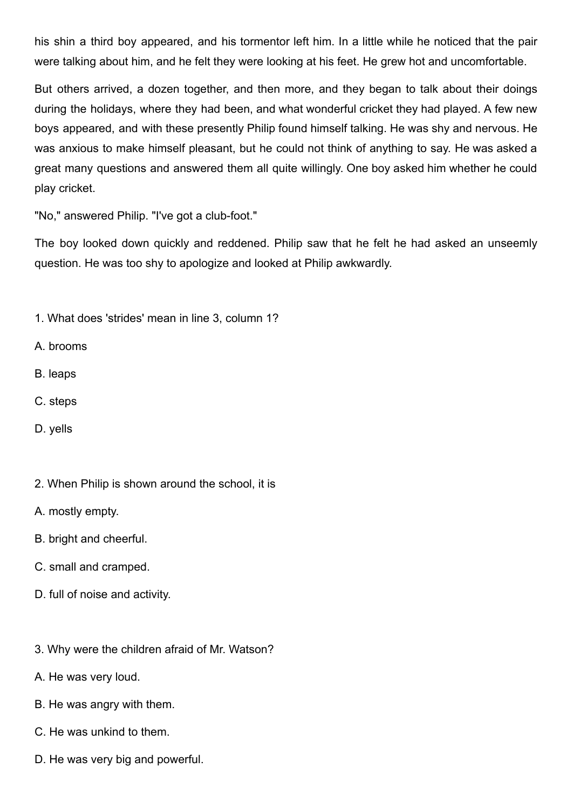his shin a third boy appeared, and his tormentor left him. In a little while he noticed that the pair were talking about him, and he felt they were looking at his feet. He grew hot and uncomfortable.

But others arrived, a dozen together, and then more, and they began to talk about their doings during the holidays, where they had been, and what wonderful cricket they had played. A few new boys appeared, and with these presently Philip found himself talking. He was shy and nervous. He was anxious to make himself pleasant, but he could not think of anything to say. He was asked a great many questions and answered them all quite willingly. One boy asked him whether he could play cricket.

"No," answered Philip. "I've got a club-foot."

The boy looked down quickly and reddened. Philip saw that he felt he had asked an unseemly question. He was too shy to apologize and looked at Philip awkwardly.

1. What does 'strides' mean in line 3, column 1?

- A. brooms
- B. leaps
- C. steps
- D. yells
- 2. When Philip is shown around the school, it is
- A. mostly empty.
- B. bright and cheerful.
- C. small and cramped.
- D. full of noise and activity.
- 3. Why were the children afraid of Mr. Watson?
- A. He was very loud.
- B. He was angry with them.
- C. He was unkind to them.
- D. He was very big and powerful.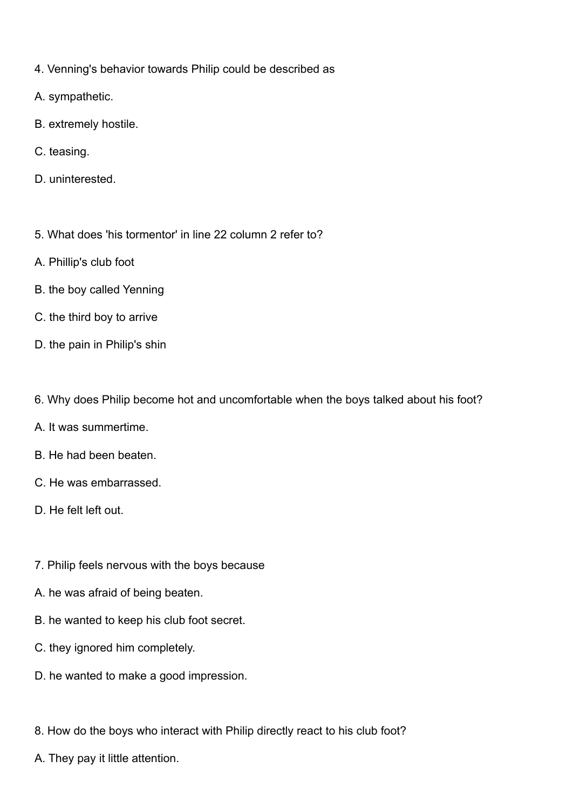- 4. Venning's behavior towards Philip could be described as
- A. sympathetic.
- B. extremely hostile.
- C. teasing.
- D. uninterested.
- 5. What does 'his tormentor' in line 22 column 2 refer to?
- A. Phillip's club foot
- B. the boy called Yenning
- C. the third boy to arrive
- D. the pain in Philip's shin
- 6. Why does Philip become hot and uncomfortable when the boys talked about his foot?
- A. It was summertime.
- B. He had been beaten.
- C. He was embarrassed.
- D. He felt left out.
- 7. Philip feels nervous with the boys because
- A. he was afraid of being beaten.
- B. he wanted to keep his club foot secret.
- C. they ignored him completely.
- D. he wanted to make a good impression.
- 8. How do the boys who interact with Philip directly react to his club foot?
- A. They pay it little attention.